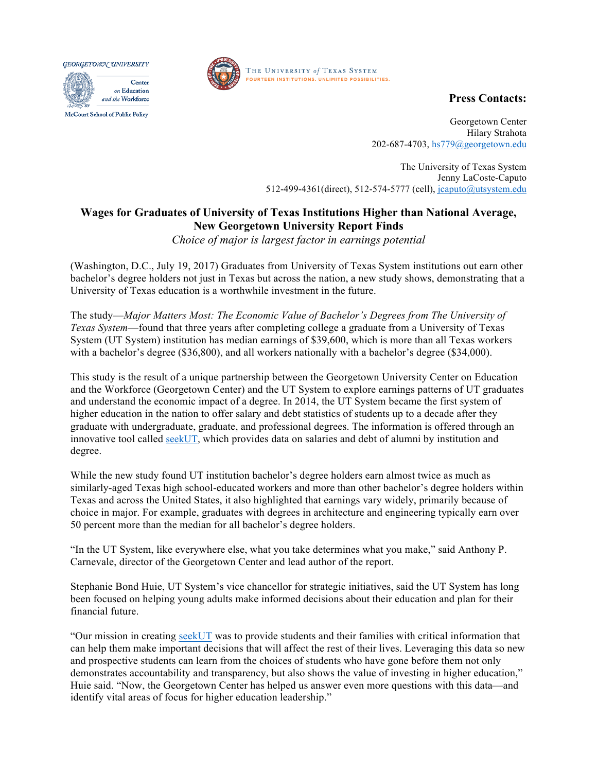GEORGETOWN UNIVERSITY







**Press Contacts:**

Georgetown Center Hilary Strahota 202-687-4703, hs779@georgetown.edu

The University of Texas System Jenny LaCoste-Caputo 512-499-4361(direct), 512-574-5777 (cell), jcaputo@utsystem.edu

## **Wages for Graduates of University of Texas Institutions Higher than National Average, New Georgetown University Report Finds**

*Choice of major is largest factor in earnings potential*

(Washington, D.C., July 19, 2017) Graduates from University of Texas System institutions out earn other bachelor's degree holders not just in Texas but across the nation, a new study shows, demonstrating that a University of Texas education is a worthwhile investment in the future.

The study—*Major Matters Most: The Economic Value of Bachelor's Degrees from The University of Texas System*—found that three years after completing college a graduate from a University of Texas System (UT System) institution has median earnings of \$39,600, which is more than all Texas workers with a bachelor's degree (\$36,800), and all workers nationally with a bachelor's degree (\$34,000).

This study is the result of a unique partnership between the Georgetown University Center on Education and the Workforce (Georgetown Center) and the UT System to explore earnings patterns of UT graduates and understand the economic impact of a degree. In 2014, the UT System became the first system of higher education in the nation to offer salary and debt statistics of students up to a decade after they graduate with undergraduate, graduate, and professional degrees. The information is offered through an innovative tool called seekUT, which provides data on salaries and debt of alumni by institution and degree.

While the new study found UT institution bachelor's degree holders earn almost twice as much as similarly-aged Texas high school-educated workers and more than other bachelor's degree holders within Texas and across the United States, it also highlighted that earnings vary widely, primarily because of choice in major. For example, graduates with degrees in architecture and engineering typically earn over 50 percent more than the median for all bachelor's degree holders.

"In the UT System, like everywhere else, what you take determines what you make," said Anthony P. Carnevale, director of the Georgetown Center and lead author of the report.

Stephanie Bond Huie, UT System's vice chancellor for strategic initiatives, said the UT System has long been focused on helping young adults make informed decisions about their education and plan for their financial future.

"Our mission in creating seekUT was to provide students and their families with critical information that can help them make important decisions that will affect the rest of their lives. Leveraging this data so new and prospective students can learn from the choices of students who have gone before them not only demonstrates accountability and transparency, but also shows the value of investing in higher education," Huie said. "Now, the Georgetown Center has helped us answer even more questions with this data—and identify vital areas of focus for higher education leadership."